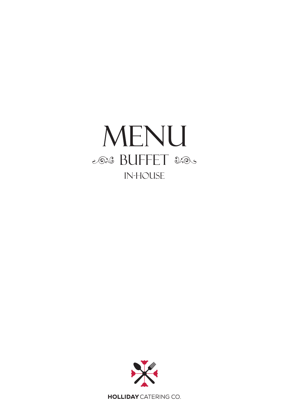# MENU cas BUFFET 200 **IN-HOUSE**



**HOLLIDAY** CATERING CO.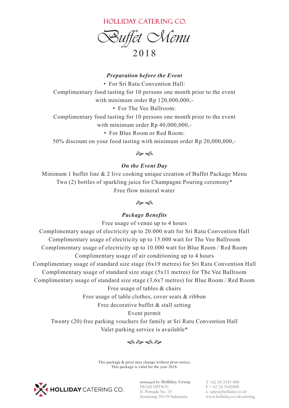HOLLIDAY CATERING CO.



## *Preparation before the Event*

• For Sri Ratu Convention Hall: Complimentary food tasting for 10 persons one month prior to the event

with minimum order  $Rp 120,000,000,$ -

• For The Vee Ballroom:

Complimentary food tasting for 10 persons one month prior to the event with minimum order  $Rp$  40,000,000,-

• For Blue Room or Red Room:

 $50\%$  discount on your food tasting with minimum order Rp  $20.000,000,$ -

 $\hat{\sigma}$ 

#### *On the Event Day*

Minimum 1 buffet line & 2 live cooking unique creation of Buffet Package Menu Two (2) bottles of sparkling juice for Champagne Pouring ceremony\* Free flow mineral water

 $\hat{\sigma}$ 

# *Package Benefits*

Free usage of venue up to 4 hours

Complimentary usage of electricity up to 20.000 watt for Sri Ratu Convention Hall Complimentary usage of electricity up to 15.000 watt for The Vee Ballroom Complimentary usage of electricity up to 10.000 watt for Blue Room / Red Room Complimentary usage of air conditioning up to 4 hours Complimentary usage of standard size stage (6x19 metres) for Sri Ratu Convention Hall Complimentary usage of standard size stage (5x11 metres) for The Vee Ballroom Complimentary usage of standard size stage (3,6x7 metres) for Blue Room / Red Room

#### Free usage of tables & chairs

Free usage of table clothes, cover seats & ribbon

Free decorative buffet & stall setting

Event permit

Twenty (20) free parking vouchers for family at Sri Ratu Convention Hall Valet parking service is available\*

 $\hat{\infty}$   $\hat{\infty}$   $\hat{\infty}$ 

This package & price may change without prior notice. This package is valid for the year 2018.



**managed by Holliday Group** HEAD OFFICE: Jl. Pemuda No. 35 Semarang 50139 Indonesia T +62 24 3545 900  $F + 62243542800$ e. sales@holliday.co.id www.holliday.co.id/catering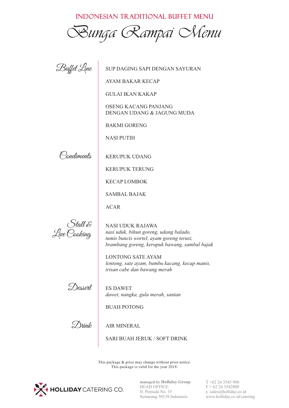INDONESIAN TRADITIONAL BUFFET MENU

*Bunga Rampai Menu*

Buffet Line

SUP DAGING SAPI DENGAN SAYURAN

AYAM BAKAR KECAP

GULAI IKAN KAKAP

OSENG KACANG PANJANG DENGAN UDANG & JAGUNG MUDA

BAKMI GORENG

NASI PUTIH



KERUPUK UDANG

KERUPUK TERUNG

KECAP LOMBOK

SAMBAL BAJAK

ACAR

Stall & Live Cooking

NASI UDUK RAJAWA *nasi uduk, bihun goreng, udang balado, tumis buncis wortel, ayam goreng terasi, brambang goreng, kerupuk bawang, sambal bajak*

LONTONG SATE AYAM *lontong, sate ayam, bumbu kacang, kecap manis, irisan cabe dan bawang merah* 

Dessert

ES DAWET *dawet, nangka, gula merah, santan*

BUAH POTONG

Drink

AIR MINERAL

SARI BUAH JERUK / SOFT DRINK

This package & price may change without prior notice. This package is valid for the year 2018.



**managed by Holliday Group** HEAD OFFICE: Jl. Pemuda No. 35 Semarang 50139 Indonesia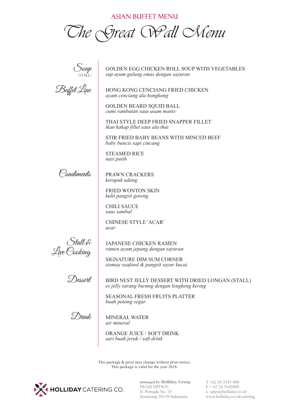ASIAN BUFFET MENU

*The Great Wall Menu*

| Soup<br>(STALL)             | GOLDEN EGG CHICKEN ROLL SOUP WITH VEGETABLES<br>sup ayam gulung emas dengan sayuran                |
|-----------------------------|----------------------------------------------------------------------------------------------------|
| Buffet Line                 | HONG KONG CENCIANG FRIED CHICKEN<br>ayam cenciang ala hongkong                                     |
|                             | <b>GOLDEN BEARD SQUID BALL</b><br>cumi rambutan saus asam manis                                    |
|                             | THAI STYLE DEEP FRIED SNAPPER FILLET<br>ikan kakap fillet saus ala thai                            |
|                             | STIR FRIED BABY BEANS WITH MINCED BEEF<br>baby buncis sapi cincang                                 |
|                             | <b>STEAMED RICE</b><br>nasi putih                                                                  |
| <sup>)</sup> ondiments      | <b>PRAWN CRACKERS</b><br>kerupuk udang                                                             |
|                             | <b>FRIED WONTON SKIN</b><br>kulit pangsit goreng                                                   |
|                             | <b>CHILI SAUCE</b><br>saus sambal                                                                  |
|                             | <b>CHINESE STYLE 'ACAR'</b><br>acar                                                                |
| Stall E<br>Live Cooking     | <b>JAPANESE CHICKEN RAMEN</b><br>ramen ayam jepang dengan sayuran<br>SIGNATURE DIM SUM CORNER      |
|                             | siomay seafood & pangsit sayur kucai                                                               |
| Dessert                     | BIRD NEST JELLY DESSERT WITH DRIED LONGAN (STALL)<br>es jelly sarang burung dengan lengkeng kering |
|                             | <b>SEASONAL FRESH FRUITS PLATTER</b><br>buah potong segar                                          |
| $\mathcal{D}_{\text{link}}$ | <b>MINERAL WATER</b><br>air mineral                                                                |
|                             | <b>ORANGE JUICE / SOFT DRINK</b><br>sari buah jeruk / soft drink                                   |

This package & price may change without prior notice. This package is valid for the year 2018.



**managed by Holliday Group** HEAD OFFICE: Jl. Pemuda No. 35 Semarang 50139 Indonesia

T +62 24 3545 900  $F + 62243542800$ e. sales@holliday.co.id www.holliday.co.id/catering